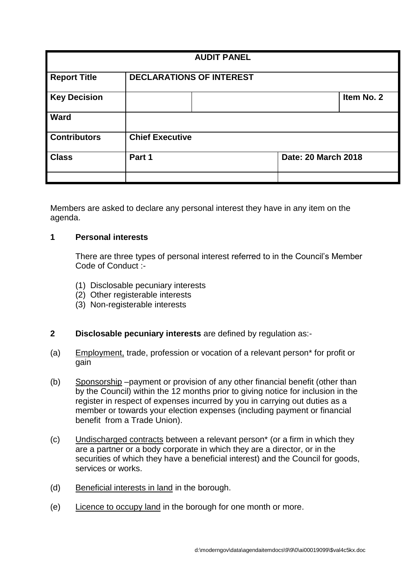| <b>AUDIT PANEL</b>  |                                 |  |                     |            |
|---------------------|---------------------------------|--|---------------------|------------|
| <b>Report Title</b> | <b>DECLARATIONS OF INTEREST</b> |  |                     |            |
| <b>Key Decision</b> |                                 |  |                     | Item No. 2 |
| <b>Ward</b>         |                                 |  |                     |            |
| <b>Contributors</b> | <b>Chief Executive</b>          |  |                     |            |
| <b>Class</b>        | Part 1                          |  | Date: 20 March 2018 |            |
|                     |                                 |  |                     |            |

Members are asked to declare any personal interest they have in any item on the agenda.

## **1 Personal interests**

There are three types of personal interest referred to in the Council's Member Code of Conduct :-

- (1) Disclosable pecuniary interests
- (2) Other registerable interests
- (3) Non-registerable interests

# **2 Disclosable pecuniary interests** are defined by regulation as:-

- (a) Employment, trade, profession or vocation of a relevant person\* for profit or gain
- (b) Sponsorship –payment or provision of any other financial benefit (other than by the Council) within the 12 months prior to giving notice for inclusion in the register in respect of expenses incurred by you in carrying out duties as a member or towards your election expenses (including payment or financial benefit from a Trade Union).
- (c) Undischarged contracts between a relevant person\* (or a firm in which they are a partner or a body corporate in which they are a director, or in the securities of which they have a beneficial interest) and the Council for goods, services or works.
- (d) Beneficial interests in land in the borough.
- (e) Licence to occupy land in the borough for one month or more.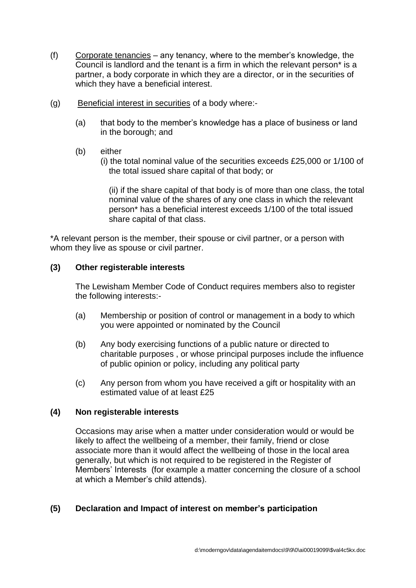- (f) Corporate tenancies any tenancy, where to the member's knowledge, the Council is landlord and the tenant is a firm in which the relevant person\* is a partner, a body corporate in which they are a director, or in the securities of which they have a beneficial interest.
- (g) Beneficial interest in securities of a body where:-
	- (a) that body to the member's knowledge has a place of business or land in the borough; and
	- (b) either
		- (i) the total nominal value of the securities exceeds £25,000 or 1/100 of the total issued share capital of that body; or

(ii) if the share capital of that body is of more than one class, the total nominal value of the shares of any one class in which the relevant person\* has a beneficial interest exceeds 1/100 of the total issued share capital of that class.

\*A relevant person is the member, their spouse or civil partner, or a person with whom they live as spouse or civil partner.

### **(3) Other registerable interests**

The Lewisham Member Code of Conduct requires members also to register the following interests:-

- (a) Membership or position of control or management in a body to which you were appointed or nominated by the Council
- (b) Any body exercising functions of a public nature or directed to charitable purposes , or whose principal purposes include the influence of public opinion or policy, including any political party
- (c) Any person from whom you have received a gift or hospitality with an estimated value of at least £25

#### **(4) Non registerable interests**

Occasions may arise when a matter under consideration would or would be likely to affect the wellbeing of a member, their family, friend or close associate more than it would affect the wellbeing of those in the local area generally, but which is not required to be registered in the Register of Members' Interests (for example a matter concerning the closure of a school at which a Member's child attends).

## **(5) Declaration and Impact of interest on member's participation**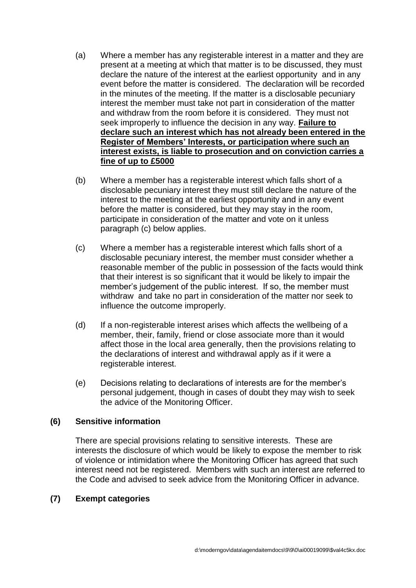- (a) Where a member has any registerable interest in a matter and they are present at a meeting at which that matter is to be discussed, they must declare the nature of the interest at the earliest opportunity and in any event before the matter is considered. The declaration will be recorded in the minutes of the meeting. If the matter is a disclosable pecuniary interest the member must take not part in consideration of the matter and withdraw from the room before it is considered. They must not seek improperly to influence the decision in any way. **Failure to declare such an interest which has not already been entered in the Register of Members' Interests, or participation where such an interest exists, is liable to prosecution and on conviction carries a fine of up to £5000**
- (b) Where a member has a registerable interest which falls short of a disclosable pecuniary interest they must still declare the nature of the interest to the meeting at the earliest opportunity and in any event before the matter is considered, but they may stay in the room, participate in consideration of the matter and vote on it unless paragraph (c) below applies.
- (c) Where a member has a registerable interest which falls short of a disclosable pecuniary interest, the member must consider whether a reasonable member of the public in possession of the facts would think that their interest is so significant that it would be likely to impair the member's judgement of the public interest. If so, the member must withdraw and take no part in consideration of the matter nor seek to influence the outcome improperly.
- (d) If a non-registerable interest arises which affects the wellbeing of a member, their, family, friend or close associate more than it would affect those in the local area generally, then the provisions relating to the declarations of interest and withdrawal apply as if it were a registerable interest.
- (e) Decisions relating to declarations of interests are for the member's personal judgement, though in cases of doubt they may wish to seek the advice of the Monitoring Officer.

## **(6) Sensitive information**

There are special provisions relating to sensitive interests. These are interests the disclosure of which would be likely to expose the member to risk of violence or intimidation where the Monitoring Officer has agreed that such interest need not be registered. Members with such an interest are referred to the Code and advised to seek advice from the Monitoring Officer in advance.

## **(7) Exempt categories**